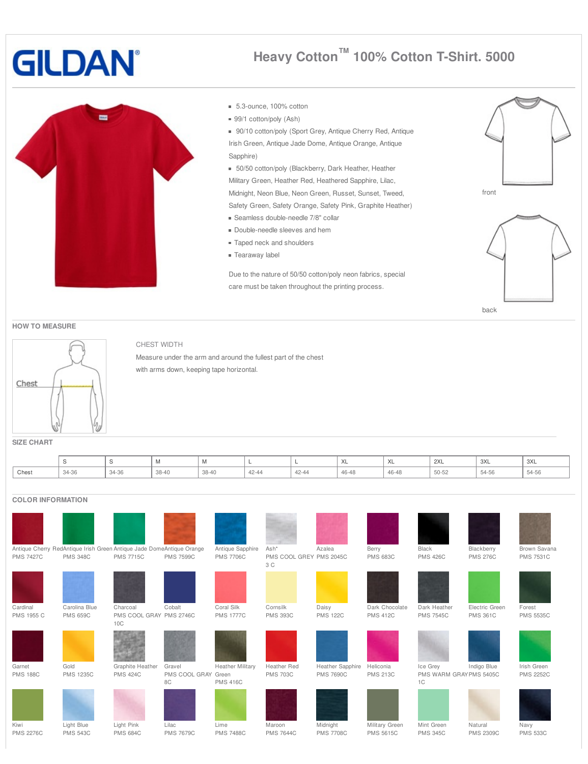# **GILDAN**

# **m**

## **Heavy Cotton ™ 100% Cotton T-Shirt. 5000**

- 5.3-ounce, 100% cotton
- 99/1 cotton/poly (Ash)
- 90/10 cotton/poly (Sport Grey, Antique Cherry Red, Antique Irish Green, Antique Jade Dome, Antique Orange, Antique Sapphire)

50/50 cotton/poly (Blackberry, Dark Heather, Heather Military Green, Heather Red, Heathered Sapphire, Lilac, Midnight, Neon Blue, Neon Green, Russet, Sunset, Tweed, Safety Green, Safety Orange, Safety Pink, Graphite Heather)

- Seamless double-needle 7/8" collar
- Double-needle sleeves and hem
- Taped neck and shoulders
- Tearaway label

Due to the nature of 50/50 cotton/poly neon fabrics, special care must be taken throughout the printing process.





### **HOW TO MEASURE**



### CHEST WIDTH

Measure under the arm and around the fullest part of the chest with arms down, keeping tape horizontal.

**SIZE CHART**

|       |       |       | <b>IVI</b>         | <b>IVI</b> |       |       | 'XL   | $\lambda$<br>$\sqrt{2}$ | $\sim$<br>2AL | 3XL   | 3XL   |
|-------|-------|-------|--------------------|------------|-------|-------|-------|-------------------------|---------------|-------|-------|
| Chest | 37-36 | 34-36 | $38 - 40$<br>JU-40 | 38-40      | 42-44 | 42-44 | 46-48 | 46-48                   | 50-52         | 51.56 | 54-56 |

### **COLOR INFORMATION**

| <b>PMS 7427C</b>          | Antique Cherry RedAntique Irish Green Antique Jade DomeAntique Orange<br><b>PMS 348C</b> | <b>PMS 7715C</b>                           | <b>PMS 7599C</b>                    | Antique Sapphire<br><b>PMS 7706C</b> | Ash*<br>PMS COOL GREY PMS 2045C<br>3 C | Azalea                               | Berry<br><b>PMS 683C</b>           | Black<br><b>PMS 426C</b>                 | Blackberry<br><b>PMS 276C</b>     | Brown Savana<br><b>PMS 7531C</b> |
|---------------------------|------------------------------------------------------------------------------------------|--------------------------------------------|-------------------------------------|--------------------------------------|----------------------------------------|--------------------------------------|------------------------------------|------------------------------------------|-----------------------------------|----------------------------------|
| Cardinal<br>PMS 1955 C    | Carolina Blue<br><b>PMS 659C</b>                                                         | Charcoal<br>PMS COOL GRAY PMS 2746C<br>10C | Cobalt                              | Coral Silk<br><b>PMS 1777C</b>       | Cornsilk<br><b>PMS 393C</b>            | Daisy<br><b>PMS 122C</b>             | Dark Chocolate<br><b>PMS 412C</b>  | Dark Heather<br><b>PMS 7545C</b>         | Electric Green<br><b>PMS 361C</b> | Forest<br><b>PMS 5535C</b>       |
| Garnet<br><b>PMS 188C</b> | Gold<br><b>PMS 1235C</b>                                                                 | Graphite Heather<br><b>PMS 424C</b>        | Gravel<br>PMS COOL GRAY Green<br>8C | Heather Military<br><b>PMS 416C</b>  | Heather Red<br><b>PMS 703C</b>         | Heather Sapphire<br><b>PMS 7690C</b> | Heliconia<br><b>PMS 213C</b>       | Ice Grey<br>PMS WARM GRAYPMS 5405C<br>1C | Indigo Blue                       | Irish Green<br><b>PMS 2252C</b>  |
| Kiwi<br><b>PMS 2276C</b>  | Light Blue<br><b>PMS 543C</b>                                                            | Light Pink<br><b>PMS 684C</b>              | Lilac<br><b>PMS 7679C</b>           | Lime<br><b>PMS 7488C</b>             | Maroon<br><b>PMS 7644C</b>             | Midnight<br><b>PMS 7708C</b>         | Military Green<br><b>PMS 5615C</b> | Mint Green<br><b>PMS 345C</b>            | Natural<br><b>PMS 2309C</b>       | Navy<br><b>PMS 533C</b>          |